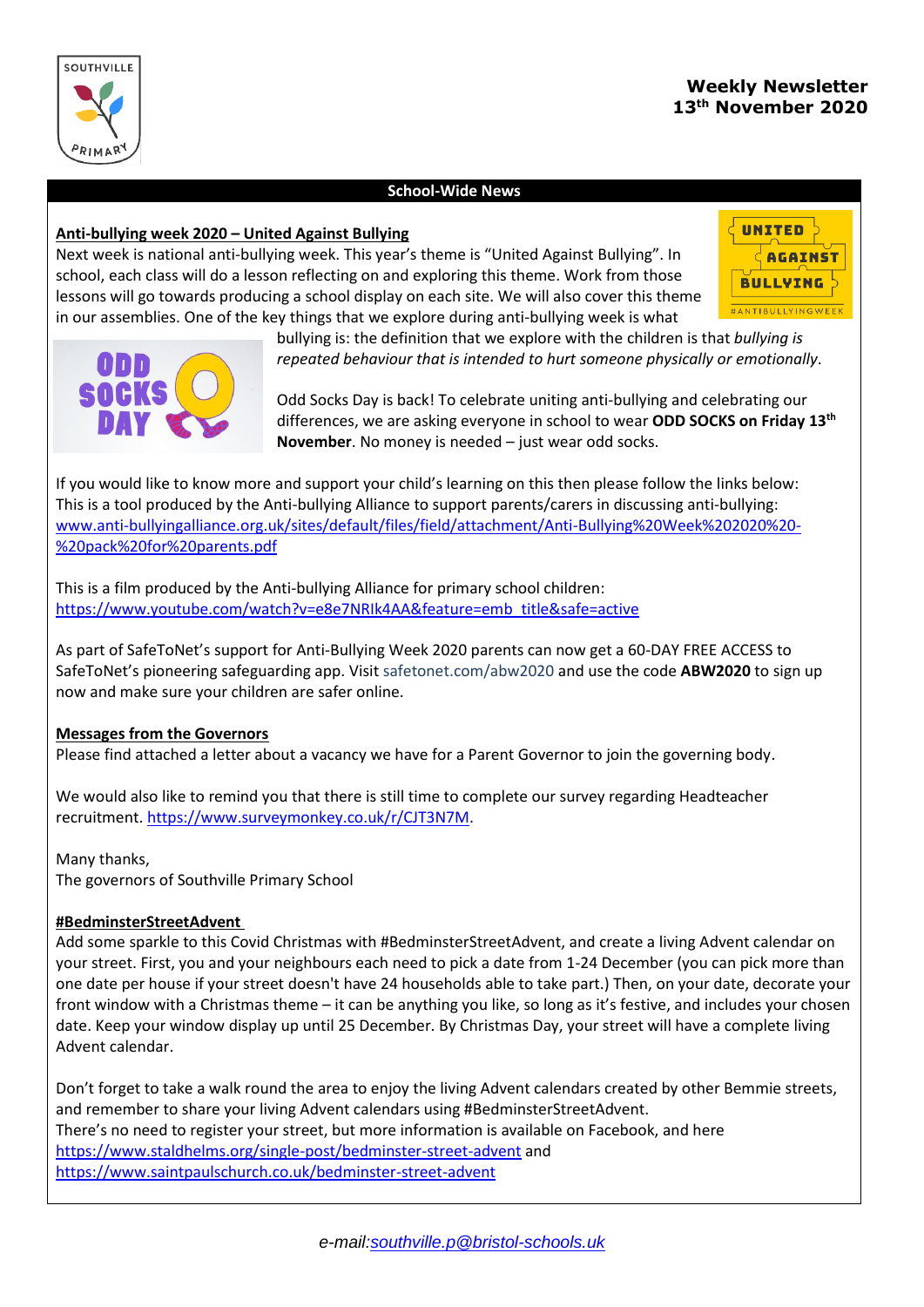

## **School-Wide News**

### **Anti-bullying week 2020 – United Against Bullying**

Next week is national anti-bullying week. This year's theme is "United Against Bullying". In school, each class will do a lesson reflecting on and exploring this theme. Work from those lessons will go towards producing a school display on each site. We will also cover this theme in our assemblies. One of the key things that we explore during anti-bullying week is what





bullying is: the definition that we explore with the children is that *bullying is repeated behaviour that is intended to hurt someone physically or emotionally*.

Odd Socks Day is back! To celebrate uniting anti-bullying and celebrating our differences, we are asking everyone in school to wear **ODD SOCKS on Friday 13th November**. No money is needed – just wear odd socks.

If you would like to know more and support your child's learning on this then please follow the links below: This is a tool produced by the Anti-bullying Alliance to support parents/carers in discussing anti-bullying: [www.anti-bullyingalliance.org.uk/sites/default/files/field/attachment/Anti-Bullying%20Week%202020%20-](http://www.anti-bullyingalliance.org.uk/sites/default/files/field/attachment/Anti-Bullying%20Week%202020%20-%20pack%20for%20parents.pdf) [%20pack%20for%20parents.pdf](http://www.anti-bullyingalliance.org.uk/sites/default/files/field/attachment/Anti-Bullying%20Week%202020%20-%20pack%20for%20parents.pdf)

This is a film produced by the Anti-bullying Alliance for primary school children: [https://www.youtube.com/watch?v=e8e7NRIk4AA&feature=emb\\_title&safe=active](https://www.youtube.com/watch?v=e8e7NRIk4AA&feature=emb_title&safe=active)

As part of SafeToNet's support for Anti-Bullying Week 2020 parents can now get a 60-DAY FREE ACCESS to SafeToNet's pioneering safeguarding app. Visit safetonet.com/abw2020 and use the code **ABW2020** to sign up now and make sure your children are safer online.

#### **Messages from the Governors**

Please find attached a letter about a vacancy we have for a Parent Governor to join the governing body.

We would also like to remind you that there is still time to complete our survey regarding Headteacher recruitment. [https://www.surveymonkey.co.uk/r/CJT3N7M.](https://www.surveymonkey.co.uk/r/CJT3N7M)

# Many thanks,

The governors of Southville Primary School

#### **#BedminsterStreetAdvent**

Add some sparkle to this Covid Christmas with #BedminsterStreetAdvent, and create a living Advent calendar on your street. First, you and your neighbours each need to pick a date from 1-24 December (you can pick more than one date per house if your street doesn't have 24 households able to take part.) Then, on your date, decorate your front window with a Christmas theme – it can be anything you like, so long as it's festive, and includes your chosen date. Keep your window display up until 25 December. By Christmas Day, your street will have a complete living Advent calendar.

Don't forget to take a walk round the area to enjoy the living Advent calendars created by other Bemmie streets, and remember to share your living Advent calendars using #BedminsterStreetAdvent. There's no need to register your street, but more information is available on Facebook, and here <https://www.staldhelms.org/single-post/bedminster-street-advent> and <https://www.saintpaulschurch.co.uk/bedminster-street-advent>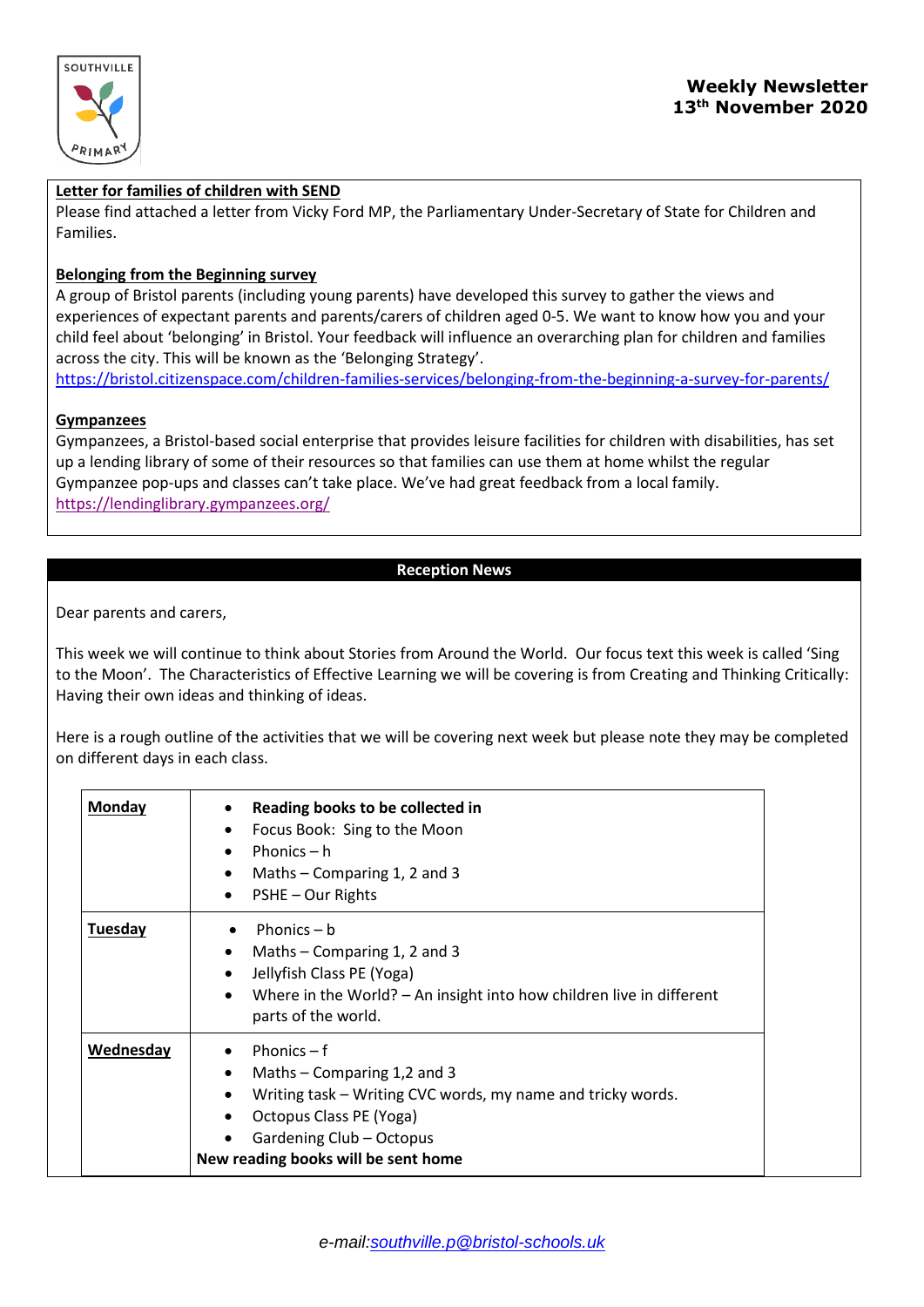

## **Letter for families of children with SEND**

Please find attached a letter from Vicky Ford MP, the Parliamentary Under-Secretary of State for Children and Families.

### **Belonging from the Beginning survey**

A group of Bristol parents (including young parents) have developed this survey to gather the views and experiences of expectant parents and parents/carers of children aged 0-5. We want to know how you and your child feel about 'belonging' in Bristol. Your feedback will influence an overarching plan for children and families across the city. This will be known as the 'Belonging Strategy'.

[https://bristol.citizenspace.com/children-families-services/belonging-from-the-beginning-a-survey-for-parents/](https://urldefense.proofpoint.com/v2/url?u=https-3A__bristol.citizenspace.com_children-2Dfamilies-2Dservices_belonging-2Dfrom-2Dthe-2Dbeginning-2Da-2Dsurvey-2Dfor-2Dparents_&d=DwMFAg&c=7libWk6qxX9UStSY0S7v0BFgllVdq90dlT-QbmNawA8&r=cwPTifp_Yvo0X1kUvngBEeoPNRWofBnyYZV3XAEzqdU&m=Uja2BdAO0Qvi4AHALeo0gIzKIhypz1M7Ju-W2esXE4c&s=xkQtyPLGOToxSwXPXXbVWAh3MkLf_QWxaTJYt-ccg5c&e=)

#### **Gympanzees**

Gympanzees, a Bristol-based social enterprise that provides leisure facilities for children with disabilities, has set up a lending library of some of their resources so that families can use them at home whilst the regular Gympanzee pop-ups and classes can't take place. We've had great feedback from a local family. <https://lendinglibrary.gympanzees.org/>

# **Reception News**

Dear parents and carers,

This week we will continue to think about Stories from Around the World. Our focus text this week is called 'Sing to the Moon'. The Characteristics of Effective Learning we will be covering is from Creating and Thinking Critically: Having their own ideas and thinking of ideas.

Here is a rough outline of the activities that we will be covering next week but please note they may be completed on different days in each class.

| Monday    | Reading books to be collected in<br>Focus Book: Sing to the Moon<br>Phonics $- h$<br>Maths $-$ Comparing 1, 2 and 3<br>$\bullet$<br>PSHE - Our Rights<br>$\bullet$                                                                               |
|-----------|--------------------------------------------------------------------------------------------------------------------------------------------------------------------------------------------------------------------------------------------------|
| Tuesday   | Phonics $- b$<br>Maths - Comparing 1, 2 and 3<br>$\bullet$<br>Jellyfish Class PE (Yoga)<br>Where in the World? - An insight into how children live in different<br>$\bullet$<br>parts of the world.                                              |
| Wednesday | Phonics $- f$<br>Maths – Comparing 1,2 and 3<br>$\bullet$<br>Writing task – Writing CVC words, my name and tricky words.<br>$\bullet$<br>Octopus Class PE (Yoga)<br>$\bullet$<br>Gardening Club - Octopus<br>New reading books will be sent home |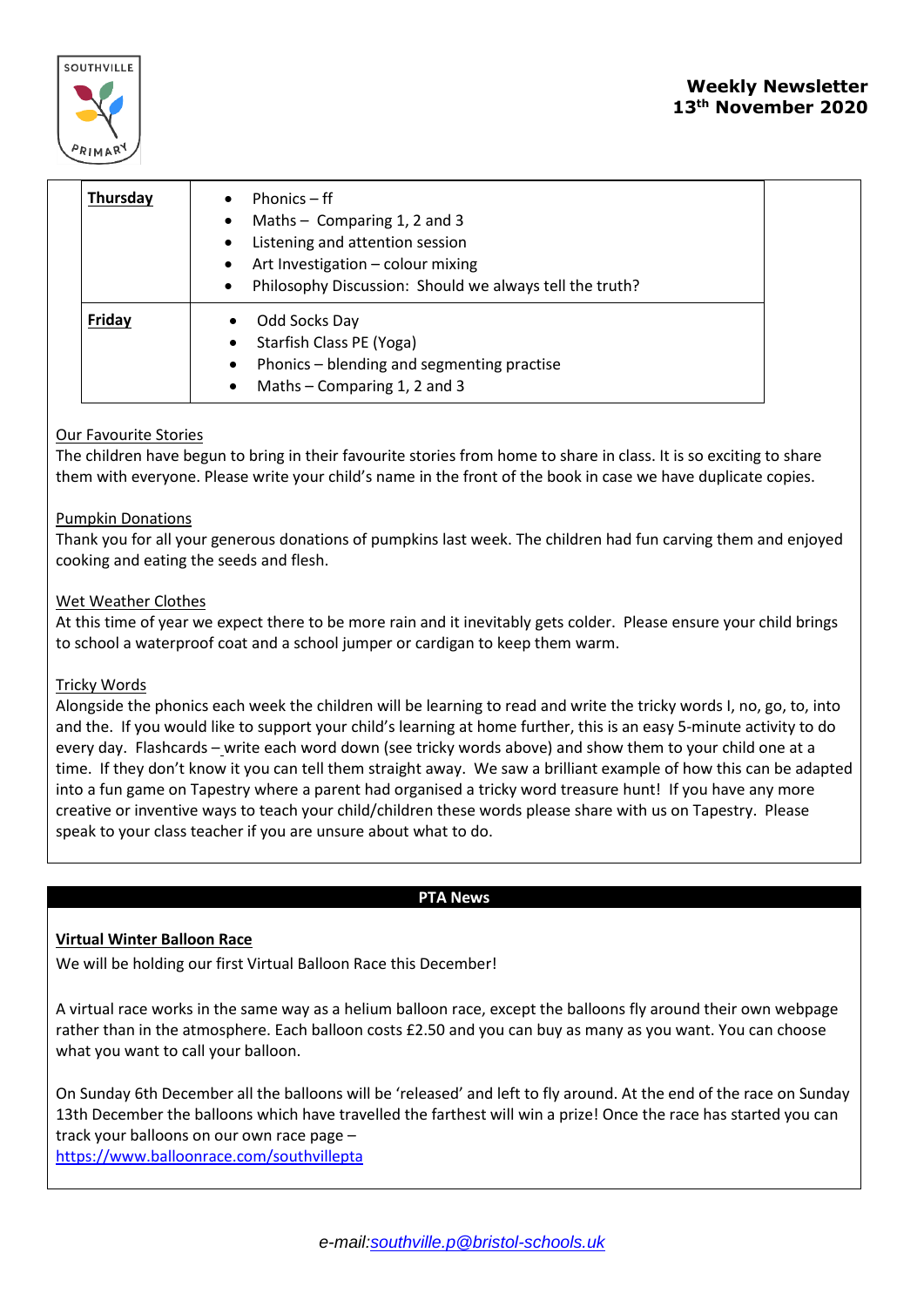

| Thursday | Phonics $-ff$<br>$\bullet$<br>Maths $-$ Comparing 1, 2 and 3<br>$\bullet$<br>Listening and attention session<br>$\bullet$<br>Art Investigation - colour mixing<br>$\bullet$<br>Philosophy Discussion: Should we always tell the truth?<br>$\bullet$ |
|----------|-----------------------------------------------------------------------------------------------------------------------------------------------------------------------------------------------------------------------------------------------------|
| Friday   | Odd Socks Day<br>٠<br>Starfish Class PE (Yoga)<br>Phonics - blending and segmenting practise<br>$\bullet$<br>Maths – Comparing 1, 2 and 3<br>$\bullet$                                                                                              |

# Our Favourite Stories

The children have begun to bring in their favourite stories from home to share in class. It is so exciting to share them with everyone. Please write your child's name in the front of the book in case we have duplicate copies.

#### Pumpkin Donations

Thank you for all your generous donations of pumpkins last week. The children had fun carving them and enjoyed cooking and eating the seeds and flesh.

#### Wet Weather Clothes

At this time of year we expect there to be more rain and it inevitably gets colder. Please ensure your child brings to school a waterproof coat and a school jumper or cardigan to keep them warm.

#### Tricky Words

Alongside the phonics each week the children will be learning to read and write the tricky words I, no, go, to, into and the. If you would like to support your child's learning at home further, this is an easy 5-minute activity to do every day. Flashcards – write each word down (see tricky words above) and show them to your child one at a time. If they don't know it you can tell them straight away. We saw a brilliant example of how this can be adapted into a fun game on Tapestry where a parent had organised a tricky word treasure hunt! If you have any more creative or inventive ways to teach your child/children these words please share with us on Tapestry. Please speak to your class teacher if you are unsure about what to do.

# **PTA News**

#### **Virtual Winter Balloon Race**

We will be holding our first Virtual Balloon Race this December!

A virtual race works in the same way as a helium balloon race, except the balloons fly around their own webpage rather than in the atmosphere. Each balloon costs £2.50 and you can buy as many as you want. You can choose what you want to call your balloon.

On Sunday 6th December all the balloons will be 'released' and left to fly around. At the end of the race on Sunday 13th December the balloons which have travelled the farthest will win a prize! Once the race has started you can track your balloons on our own race page –

<https://www.balloonrace.com/southvillepta>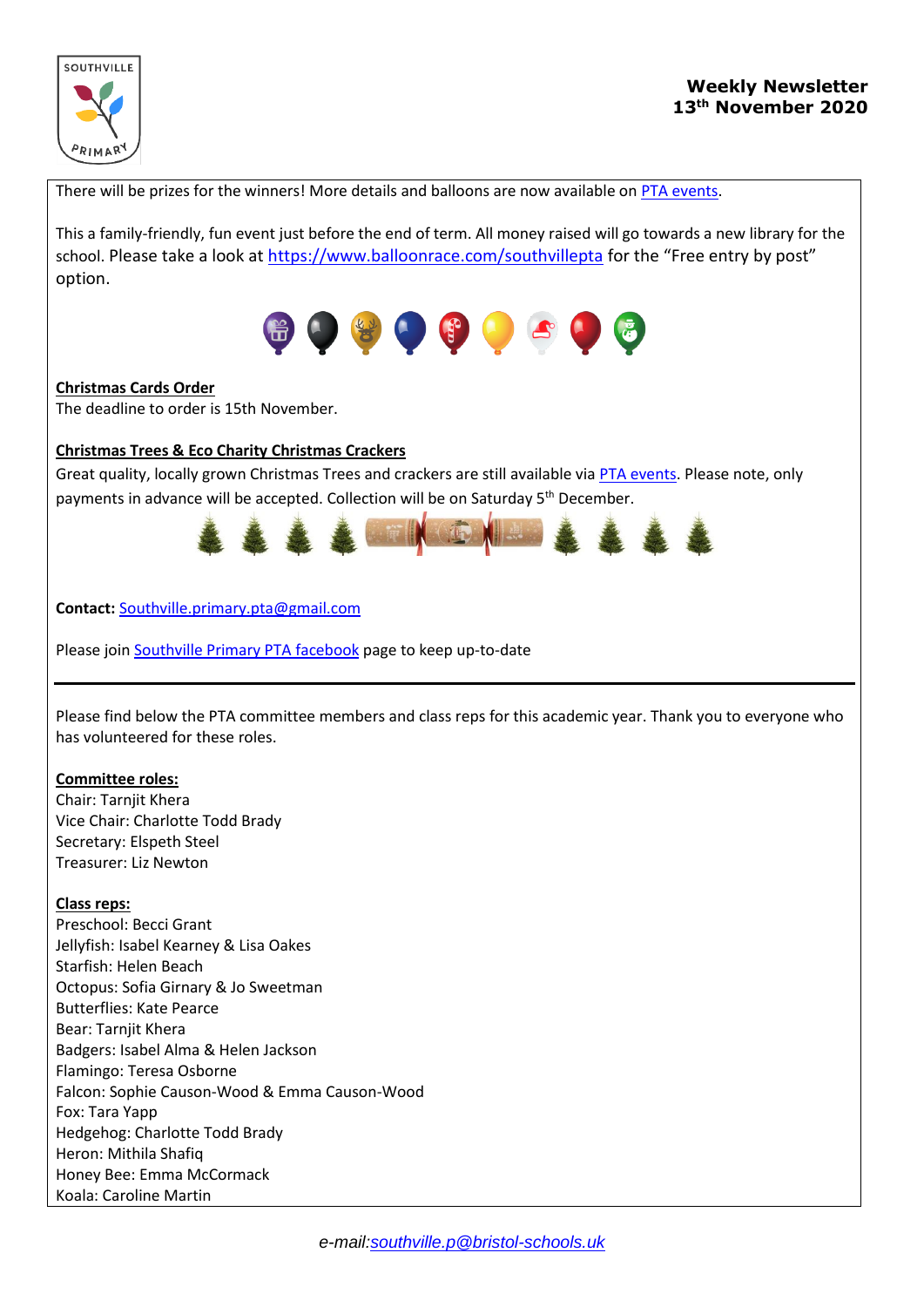

There will be prizes for the winners! More details and balloons are now available on [PTA events.](https://www.pta-events.co.uk/southvilleprimarypta/)

This a family-friendly, fun event just before the end of term. All money raised will go towards a new library for the school. Please take a look at<https://www.balloonrace.com/southvillepta> for the "Free entry by post" option.



#### **Christmas Cards Order**

The deadline to order is 15th November.

## **Christmas Trees & Eco Charity Christmas Crackers**

Great quality, locally grown Christmas Trees and crackers are still available via [PTA events.](https://www.pta-events.co.uk/southvilleprimarypta/) Please note, only payments in advance will be accepted. Collection will be on Saturday 5<sup>th</sup> December.



**Contact:** [Southville.primary.pta@gmail.com](mailto:Southville.primary.pta@gmail.com)

Please joi[n Southville Primary PTA facebook](https://www.facebook.com/groups/734023813350596/) page to keep up-to-date

Please find below the PTA committee members and class reps for this academic year. Thank you to everyone who has volunteered for these roles.

#### **Committee roles:**

Chair: Tarnjit Khera Vice Chair: Charlotte Todd Brady Secretary: Elspeth Steel Treasurer: Liz Newton

#### **Class reps:**

Preschool: Becci Grant Jellyfish: Isabel Kearney & Lisa Oakes Starfish: Helen Beach Octopus: Sofia Girnary & Jo Sweetman Butterflies: Kate Pearce Bear: Tarnjit Khera Badgers: Isabel Alma & Helen Jackson Flamingo: Teresa Osborne Falcon: Sophie Causon-Wood & Emma Causon-Wood Fox: Tara Yapp Hedgehog: Charlotte Todd Brady Heron: Mithila Shafiq Honey Bee: Emma McCormack Koala: Caroline Martin